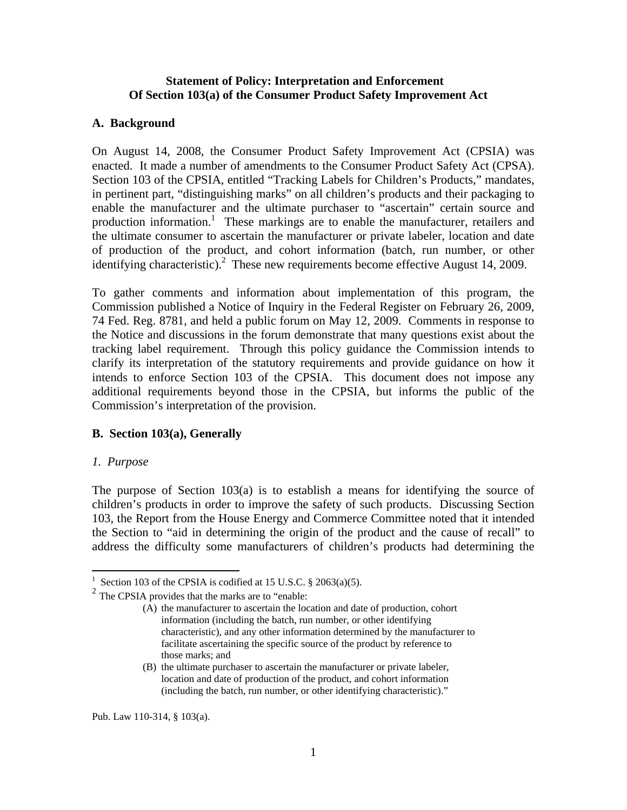### **Statement of Policy: Interpretation and Enforcement Of Section 103(a) of the Consumer Product Safety Improvement Act**

#### **A. Background**

On August 14, 2008, the Consumer Product Safety Improvement Act (CPSIA) was enacted. It made a number of amendments to the Consumer Product Safety Act (CPSA). Section 103 of the CPSIA, entitled "Tracking Labels for Children's Products," mandates, in pertinent part, "distinguishing marks" on all children's products and their packaging to enable the manufacturer and the ultimate purchaser to "ascertain" certain source and production information.<sup>1</sup> These markings are to enable the manufacturer, retailers and the ultimate consumer to ascertain the manufacturer or private labeler, location and date of production of the product, and cohort information (batch, run number, or other identifying characteristic).<sup>2</sup> These new requirements become effective August 14, 2009.

To gather comments and information about implementation of this program, the Commission published a Notice of Inquiry in the Federal Register on February 26, 2009, 74 Fed. Reg. 8781, and held a public forum on May 12, 2009. Comments in response to the Notice and discussions in the forum demonstrate that many questions exist about the tracking label requirement. Through this policy guidance the Commission intends to clarify its interpretation of the statutory requirements and provide guidance on how it intends to enforce Section 103 of the CPSIA. This document does not impose any additional requirements beyond those in the CPSIA, but informs the public of the Commission's interpretation of the provision.

### **B. Section 103(a), Generally**

### *1. Purpose*

1

The purpose of Section 103(a) is to establish a means for identifying the source of children's products in order to improve the safety of such products. Discussing Section 103, the Report from the House Energy and Commerce Committee noted that it intended the Section to "aid in determining the origin of the product and the cause of recall" to address the difficulty some manufacturers of children's products had determining the

Pub. Law 110-314, § 103(a).

<sup>&</sup>lt;sup>1</sup> Section 103 of the CPSIA is codified at 15 U.S.C.  $\S$  2063(a)(5).

<sup>&</sup>lt;sup>2</sup> The CPSIA provides that the marks are to "enable:

<sup>(</sup>A) the manufacturer to ascertain the location and date of production, cohort information (including the batch, run number, or other identifying characteristic), and any other information determined by the manufacturer to facilitate ascertaining the specific source of the product by reference to those marks; and

<sup>(</sup>B) the ultimate purchaser to ascertain the manufacturer or private labeler, location and date of production of the product, and cohort information (including the batch, run number, or other identifying characteristic)."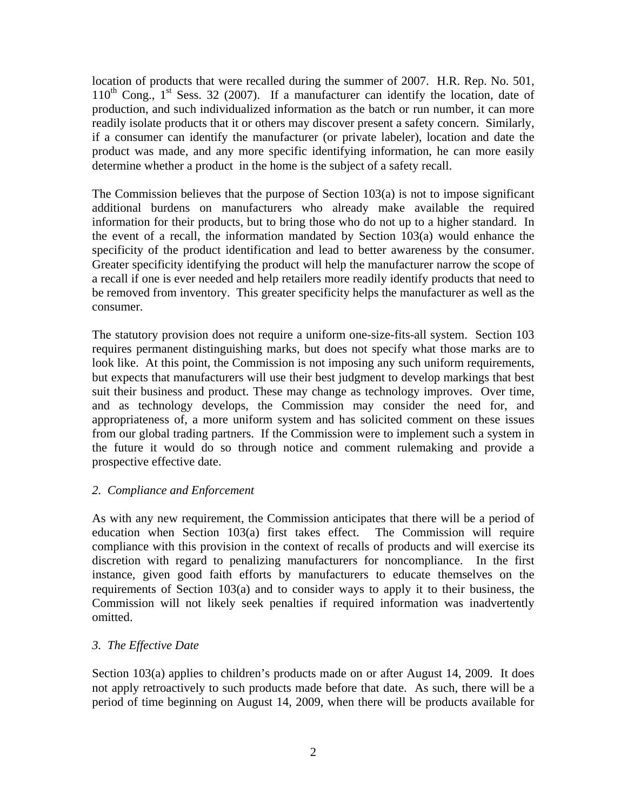location of products that were recalled during the summer of 2007. H.R. Rep. No. 501,  $110^{th}$  Cong.,  $1^{st}$  Sess. 32 (2007). If a manufacturer can identify the location, date of production, and such individualized information as the batch or run number, it can more readily isolate products that it or others may discover present a safety concern. Similarly, if a consumer can identify the manufacturer (or private labeler), location and date the product was made, and any more specific identifying information, he can more easily determine whether a product in the home is the subject of a safety recall.

The Commission believes that the purpose of Section  $103(a)$  is not to impose significant additional burdens on manufacturers who already make available the required information for their products, but to bring those who do not up to a higher standard. In the event of a recall, the information mandated by Section 103(a) would enhance the specificity of the product identification and lead to better awareness by the consumer. Greater specificity identifying the product will help the manufacturer narrow the scope of a recall if one is ever needed and help retailers more readily identify products that need to be removed from inventory. This greater specificity helps the manufacturer as well as the consumer.

The statutory provision does not require a uniform one-size-fits-all system. Section 103 requires permanent distinguishing marks, but does not specify what those marks are to look like. At this point, the Commission is not imposing any such uniform requirements, but expects that manufacturers will use their best judgment to develop markings that best suit their business and product. These may change as technology improves. Over time, and as technology develops, the Commission may consider the need for, and appropriateness of, a more uniform system and has solicited comment on these issues from our global trading partners. If the Commission were to implement such a system in the future it would do so through notice and comment rulemaking and provide a prospective effective date.

### *2. Compliance and Enforcement*

As with any new requirement, the Commission anticipates that there will be a period of education when Section 103(a) first takes effect. The Commission will require compliance with this provision in the context of recalls of products and will exercise its discretion with regard to penalizing manufacturers for noncompliance. In the first instance, given good faith efforts by manufacturers to educate themselves on the requirements of Section 103(a) and to consider ways to apply it to their business, the Commission will not likely seek penalties if required information was inadvertently omitted.

### *3. The Effective Date*

Section 103(a) applies to children's products made on or after August 14, 2009. It does not apply retroactively to such products made before that date. As such, there will be a period of time beginning on August 14, 2009, when there will be products available for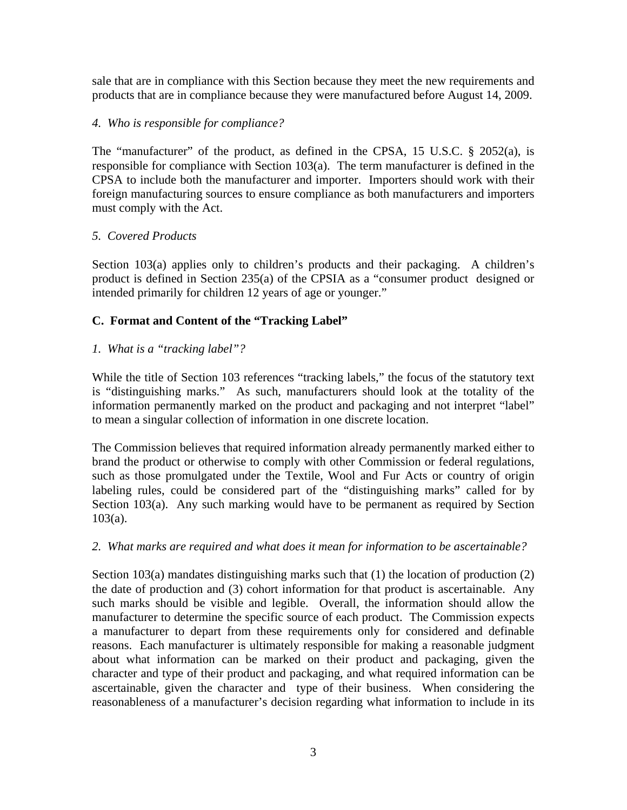sale that are in compliance with this Section because they meet the new requirements and products that are in compliance because they were manufactured before August 14, 2009.

### *4. Who is responsible for compliance?*

The "manufacturer" of the product, as defined in the CPSA, 15 U.S.C. § 2052(a), is responsible for compliance with Section 103(a). The term manufacturer is defined in the CPSA to include both the manufacturer and importer. Importers should work with their foreign manufacturing sources to ensure compliance as both manufacturers and importers must comply with the Act.

### *5. Covered Products*

Section 103(a) applies only to children's products and their packaging. A children's product is defined in Section 235(a) of the CPSIA as a "consumer product designed or intended primarily for children 12 years of age or younger."

# **C. Format and Content of the "Tracking Label"**

# *1. What is a "tracking label"?*

While the title of Section 103 references "tracking labels," the focus of the statutory text is "distinguishing marks." As such, manufacturers should look at the totality of the information permanently marked on the product and packaging and not interpret "label" to mean a singular collection of information in one discrete location.

The Commission believes that required information already permanently marked either to brand the product or otherwise to comply with other Commission or federal regulations, such as those promulgated under the Textile, Wool and Fur Acts or country of origin labeling rules, could be considered part of the "distinguishing marks" called for by Section 103(a). Any such marking would have to be permanent as required by Section 103(a).

# *2. What marks are required and what does it mean for information to be ascertainable?*

Section 103(a) mandates distinguishing marks such that (1) the location of production (2) the date of production and (3) cohort information for that product is ascertainable. Any such marks should be visible and legible. Overall, the information should allow the manufacturer to determine the specific source of each product. The Commission expects a manufacturer to depart from these requirements only for considered and definable reasons. Each manufacturer is ultimately responsible for making a reasonable judgment about what information can be marked on their product and packaging, given the character and type of their product and packaging, and what required information can be ascertainable, given the character and type of their business. When considering the reasonableness of a manufacturer's decision regarding what information to include in its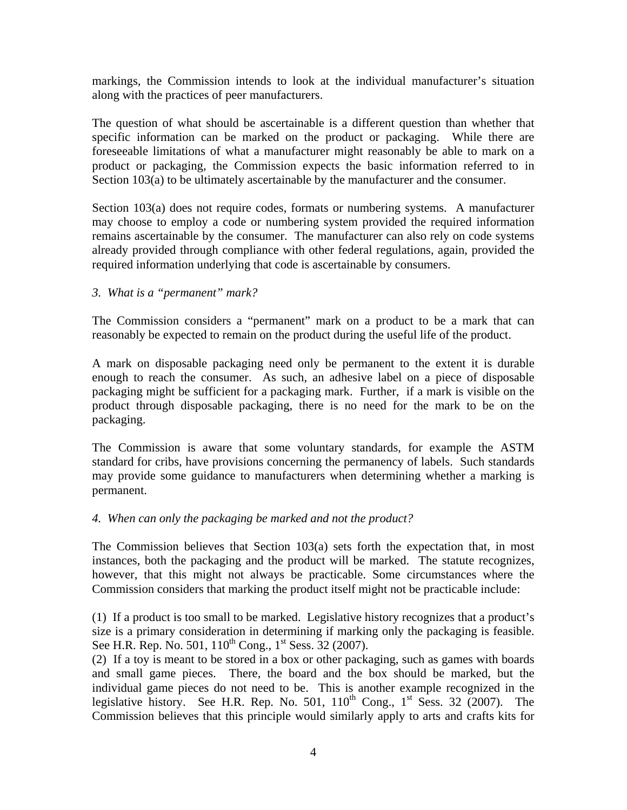markings, the Commission intends to look at the individual manufacturer's situation along with the practices of peer manufacturers.

The question of what should be ascertainable is a different question than whether that specific information can be marked on the product or packaging. While there are foreseeable limitations of what a manufacturer might reasonably be able to mark on a product or packaging, the Commission expects the basic information referred to in Section 103(a) to be ultimately ascertainable by the manufacturer and the consumer.

Section 103(a) does not require codes, formats or numbering systems. A manufacturer may choose to employ a code or numbering system provided the required information remains ascertainable by the consumer. The manufacturer can also rely on code systems already provided through compliance with other federal regulations, again, provided the required information underlying that code is ascertainable by consumers.

### *3. What is a "permanent" mark?*

The Commission considers a "permanent" mark on a product to be a mark that can reasonably be expected to remain on the product during the useful life of the product.

A mark on disposable packaging need only be permanent to the extent it is durable enough to reach the consumer. As such, an adhesive label on a piece of disposable packaging might be sufficient for a packaging mark. Further, if a mark is visible on the product through disposable packaging, there is no need for the mark to be on the packaging.

The Commission is aware that some voluntary standards, for example the ASTM standard for cribs, have provisions concerning the permanency of labels. Such standards may provide some guidance to manufacturers when determining whether a marking is permanent.

### *4. When can only the packaging be marked and not the product?*

The Commission believes that Section 103(a) sets forth the expectation that, in most instances, both the packaging and the product will be marked. The statute recognizes, however, that this might not always be practicable. Some circumstances where the Commission considers that marking the product itself might not be practicable include:

(1) If a product is too small to be marked. Legislative history recognizes that a product's size is a primary consideration in determining if marking only the packaging is feasible. See H.R. Rep. No. 501,  $110^{th}$  Cong.,  $1^{st}$  Sess. 32 (2007).

(2) If a toy is meant to be stored in a box or other packaging, such as games with boards and small game pieces. There, the board and the box should be marked, but the individual game pieces do not need to be. This is another example recognized in the legislative history. See H.R. Rep. No. 501,  $110^{th}$  Cong.,  $1^{st}$  Sess. 32 (2007). The Commission believes that this principle would similarly apply to arts and crafts kits for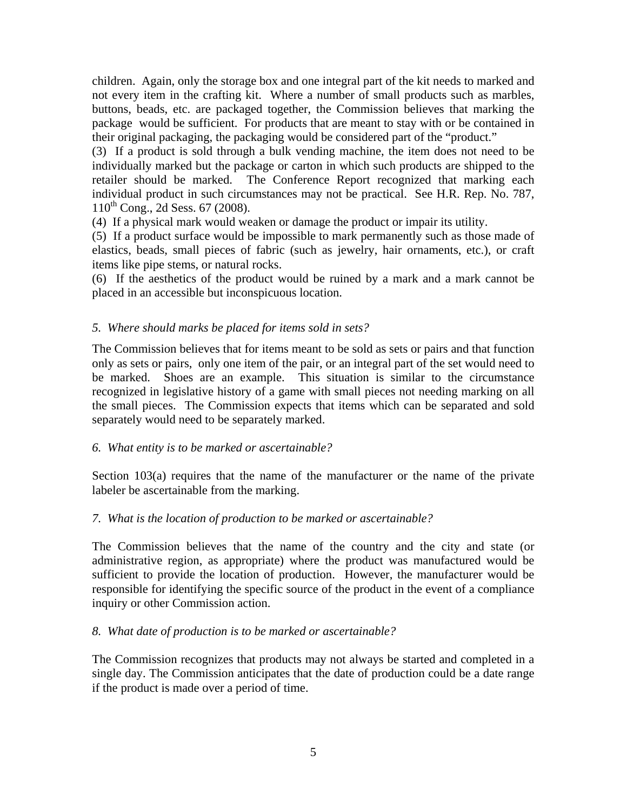children. Again, only the storage box and one integral part of the kit needs to marked and not every item in the crafting kit. Where a number of small products such as marbles, buttons, beads, etc. are packaged together, the Commission believes that marking the package would be sufficient. For products that are meant to stay with or be contained in their original packaging, the packaging would be considered part of the "product."

(3) If a product is sold through a bulk vending machine, the item does not need to be individually marked but the package or carton in which such products are shipped to the retailer should be marked. The Conference Report recognized that marking each individual product in such circumstances may not be practical. See H.R. Rep. No. 787,  $110^{th}$  Cong., 2d Sess. 67 (2008).

(4) If a physical mark would weaken or damage the product or impair its utility.

(5) If a product surface would be impossible to mark permanently such as those made of elastics, beads, small pieces of fabric (such as jewelry, hair ornaments, etc.), or craft items like pipe stems, or natural rocks.

(6) If the aesthetics of the product would be ruined by a mark and a mark cannot be placed in an accessible but inconspicuous location.

# *5. Where should marks be placed for items sold in sets?*

The Commission believes that for items meant to be sold as sets or pairs and that function only as sets or pairs, only one item of the pair, or an integral part of the set would need to be marked. Shoes are an example. This situation is similar to the circumstance recognized in legislative history of a game with small pieces not needing marking on all the small pieces. The Commission expects that items which can be separated and sold separately would need to be separately marked.

# *6. What entity is to be marked or ascertainable?*

Section 103(a) requires that the name of the manufacturer or the name of the private labeler be ascertainable from the marking.

### *7. What is the location of production to be marked or ascertainable?*

The Commission believes that the name of the country and the city and state (or administrative region, as appropriate) where the product was manufactured would be sufficient to provide the location of production. However, the manufacturer would be responsible for identifying the specific source of the product in the event of a compliance inquiry or other Commission action.

### *8. What date of production is to be marked or ascertainable?*

The Commission recognizes that products may not always be started and completed in a single day. The Commission anticipates that the date of production could be a date range if the product is made over a period of time.